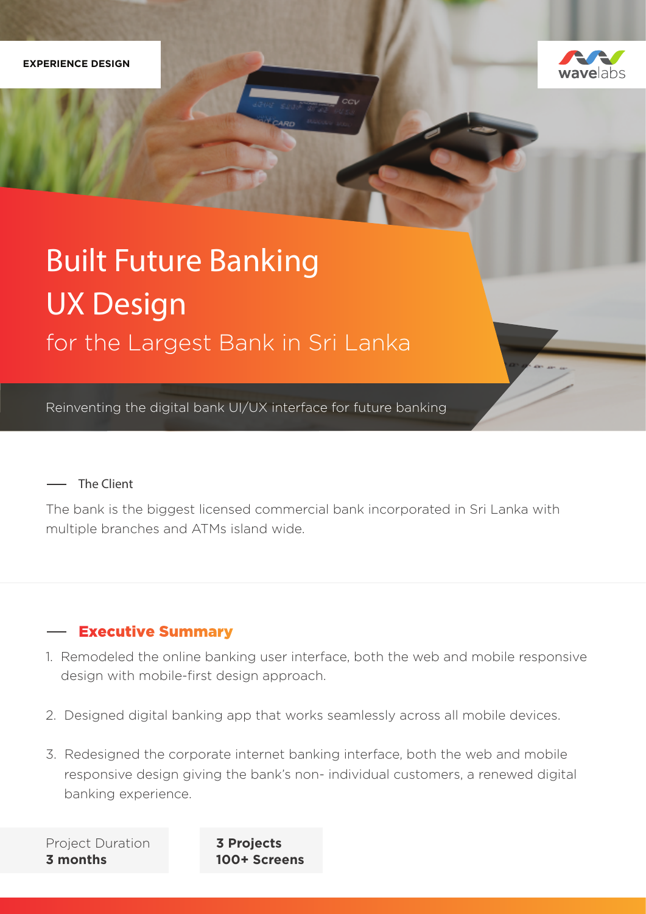

# Built Future Banking UX Design for the Largest Bank in Sri Lanka

Reinventing the digital bank UI/UX interface for future banking

## The Client

The bank is the biggest licensed commercial bank incorporated in Sri Lanka with multiple branches and ATMs island wide.

# **Executive Summary**

- 1. Remodeled the online banking user interface, both the web and mobile responsive design with mobile-first design approach.
- 2. Designed digital banking app that works seamlessly across all mobile devices.
- 3. Redesigned the corporate internet banking interface, both the web and mobile responsive design giving the bank's non- individual customers, a renewed digital banking experience.

Project Duration **3 months**

**3 Projects 100+ Screens**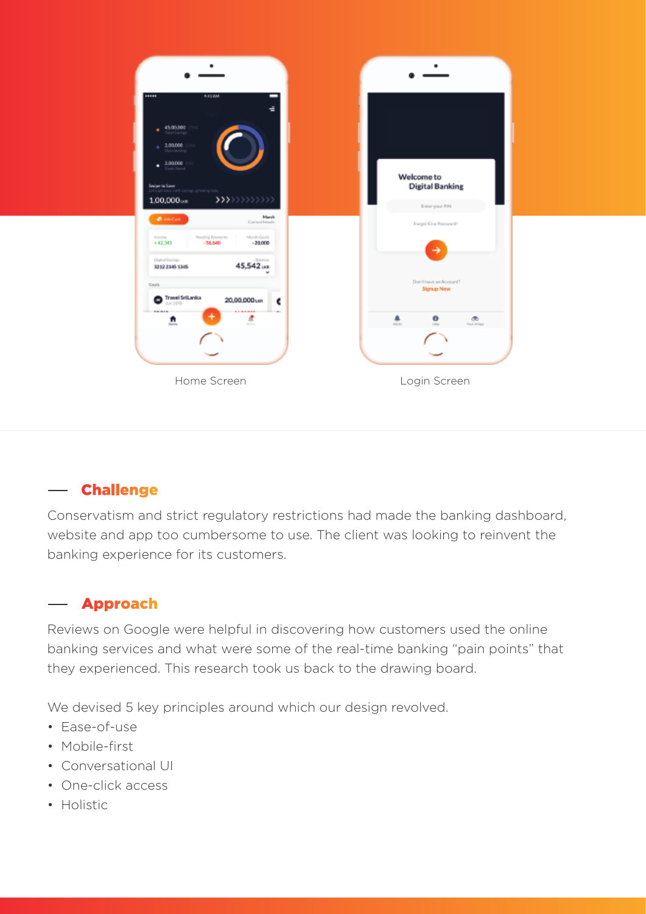

#### **Challenge**  $\overline{\phantom{m}}$

Conservatism and strict regulatory restrictions had made the banking dashboard, website and app too cumbersome to use. The client was looking to reinvent the banking experience for its customers.

#### **Approach**

Reviews on Google were helpful in discovering how customers used the online banking services and what were some of the real-time banking "pain points" that they experienced. This research took us back to the drawing board.

We devised 5 key principles around which our design revolved.

- Ease-of-use
- Mobile-first
- Conversational UI
- One-click access
- Holistic